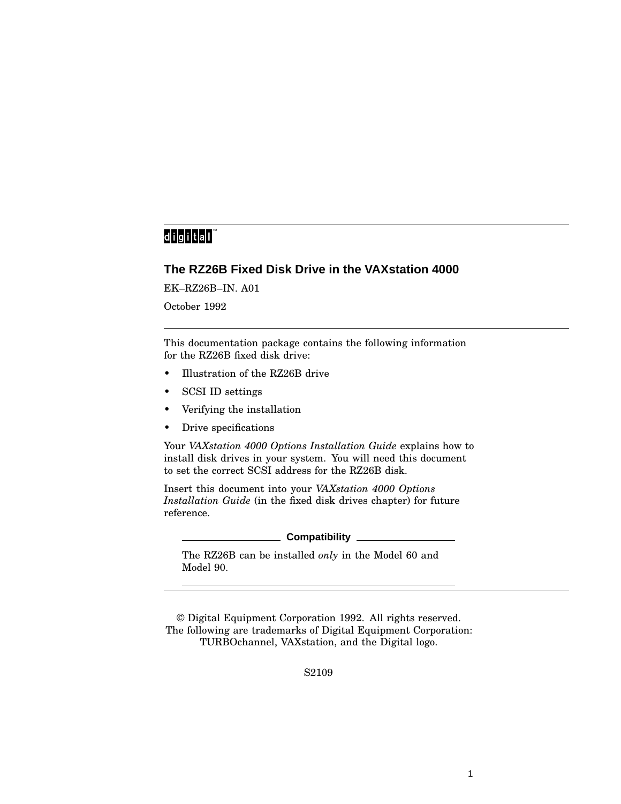## 

### **The RZ26B Fixed Disk Drive in the VAXstation 4000**

EK–RZ26B–IN. A01

October 1992

This documentation package contains the following information for the RZ26B fixed disk drive:

- Illustration of the RZ26B drive
- SCSI ID settings
- Verifying the installation
- Drive specifications

Your *VAXstation 4000 Options Installation Guide* explains how to install disk drives in your system. You will need this document to set the correct SCSI address for the RZ26B disk.

Insert this document into your *VAXstation 4000 Options Installation Guide* (in the fixed disk drives chapter) for future reference.

**Compatibility**

The RZ26B can be installed *only* in the Model 60 and Model 90.

© Digital Equipment Corporation 1992. All rights reserved. The following are trademarks of Digital Equipment Corporation: TURBOchannel, VAXstation, and the Digital logo.

S2109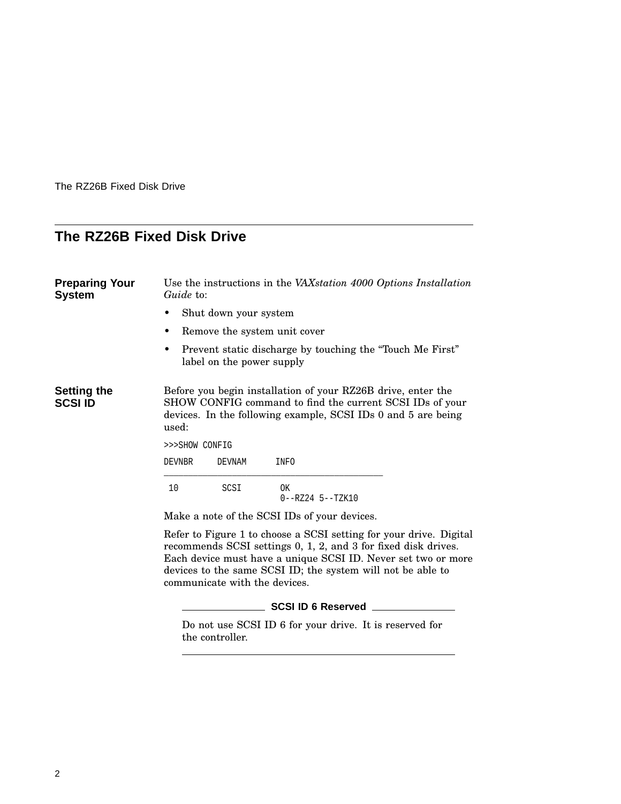The RZ26B Fixed Disk Drive

# **The RZ26B Fixed Disk Drive**

| <b>Preparing Your</b><br><b>System</b> | Use the instructions in the VAX station 4000 Options Installation<br><i>Guide</i> to:                                                                                                                                                                                                                 |  |  |  |  |  |  |
|----------------------------------------|-------------------------------------------------------------------------------------------------------------------------------------------------------------------------------------------------------------------------------------------------------------------------------------------------------|--|--|--|--|--|--|
|                                        | Shut down your system                                                                                                                                                                                                                                                                                 |  |  |  |  |  |  |
|                                        | Remove the system unit cover                                                                                                                                                                                                                                                                          |  |  |  |  |  |  |
|                                        | Prevent static discharge by touching the "Touch Me First"<br>label on the power supply                                                                                                                                                                                                                |  |  |  |  |  |  |
| <b>Setting the</b><br>SCSI ID          | Before you begin installation of your RZ26B drive, enter the<br>SHOW CONFIG command to find the current SCSI IDs of your<br>devices. In the following example, SCSI IDs 0 and 5 are being<br>used:                                                                                                    |  |  |  |  |  |  |
|                                        | >>>SHOW CONFIG                                                                                                                                                                                                                                                                                        |  |  |  |  |  |  |
|                                        | DEVNBR<br>DEVNAM<br>INFO                                                                                                                                                                                                                                                                              |  |  |  |  |  |  |
|                                        | 10<br>SCSI<br>OK<br>0--RZ24 5--TZK10                                                                                                                                                                                                                                                                  |  |  |  |  |  |  |
|                                        | Make a note of the SCSI IDs of your devices.                                                                                                                                                                                                                                                          |  |  |  |  |  |  |
|                                        | Refer to Figure 1 to choose a SCSI setting for your drive. Digital<br>recommends SCSI settings 0, 1, 2, and 3 for fixed disk drives.<br>Each device must have a unique SCSI ID. Never set two or more<br>devices to the same SCSI ID; the system will not be able to<br>communicate with the devices. |  |  |  |  |  |  |
|                                        | <b>SCSI ID 6 Reserved</b>                                                                                                                                                                                                                                                                             |  |  |  |  |  |  |
|                                        | Do not use SCSI ID 6 for your drive. It is reserved for<br>the controller.                                                                                                                                                                                                                            |  |  |  |  |  |  |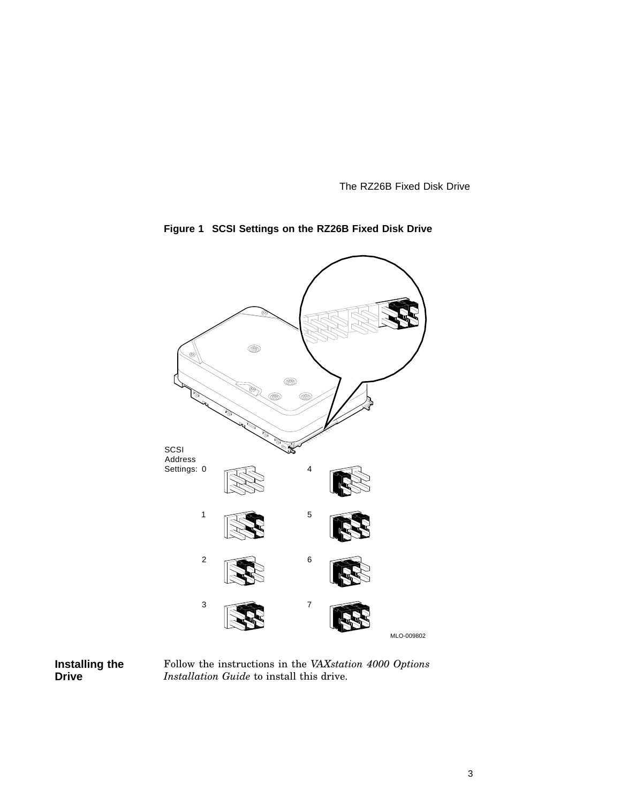The RZ26B Fixed Disk Drive



**Figure 1 SCSI Settings on the RZ26B Fixed Disk Drive**



Follow the instructions in the *VAXstation 4000 Options Installation Guide* to install this drive.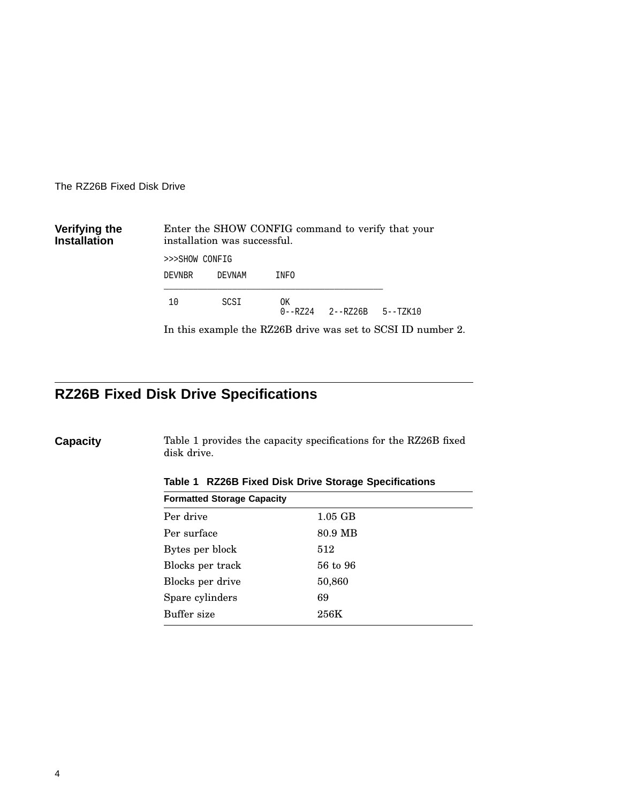The RZ26B Fixed Disk Drive

**Verifying the Installation** Enter the SHOW CONFIG command to verify that your installation was successful. >>>SHOW CONFIG DEVNBR DEVNAM INFO \_\_\_\_\_\_\_\_\_\_\_\_\_\_\_\_\_\_\_\_\_\_\_\_\_\_\_\_\_\_\_\_\_\_\_\_\_\_\_\_\_\_\_\_\_ 10 SCSI OK<br>0--RZ24 0--RZ24 2--RZ26B 5--TZK10

In this example the RZ26B drive was set to SCSI ID number 2.

# **RZ26B Fixed Disk Drive Specifications**

**Capacity** Table 1 provides the capacity specifications for the RZ26B fixed disk drive.

|  |  |  |  |  |  | Table 1 RZ26B Fixed Disk Drive Storage Specifications |
|--|--|--|--|--|--|-------------------------------------------------------|
|--|--|--|--|--|--|-------------------------------------------------------|

| <b>Formatted Storage Capacity</b> |           |  |  |  |
|-----------------------------------|-----------|--|--|--|
| Per drive                         | $1.05$ GB |  |  |  |
| Per surface                       | 80.9 MB   |  |  |  |
| Bytes per block                   | 512       |  |  |  |
| Blocks per track                  | 56 to 96  |  |  |  |
| Blocks per drive                  | 50,860    |  |  |  |
| Spare cylinders                   | 69        |  |  |  |
| Buffer size                       | 256K      |  |  |  |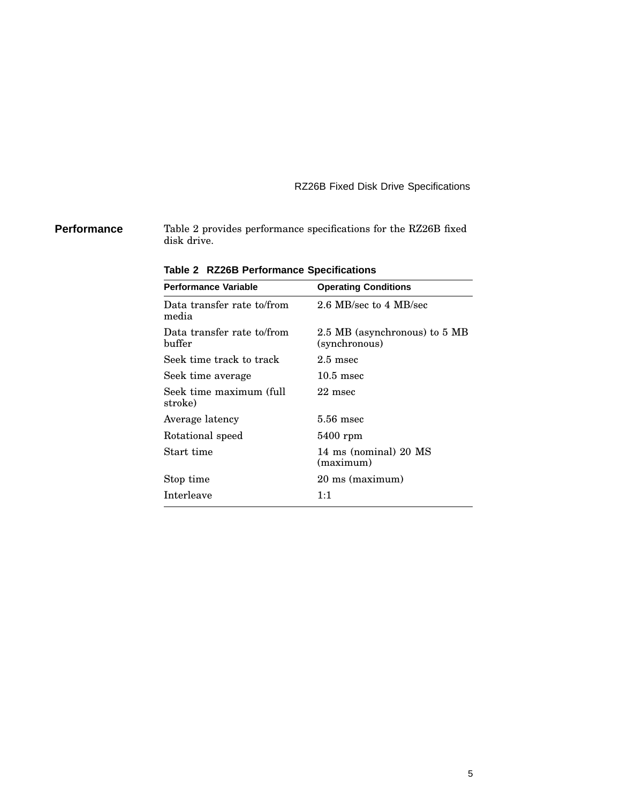RZ26B Fixed Disk Drive Specifications

**Performance** Table 2 provides performance specifications for the RZ26B fixed disk drive.

| <b>Performance Variable</b>          | <b>Operating Conditions</b>                    |  |  |
|--------------------------------------|------------------------------------------------|--|--|
| Data transfer rate to/from<br>media  | 2.6 MB/sec to 4 MB/sec                         |  |  |
| Data transfer rate to/from<br>buffer | 2.5 MB (asynchronous) to 5 MB<br>(synchronous) |  |  |
| Seek time track to track             | $2.5$ msec                                     |  |  |
| Seek time average                    | $10.5$ msec                                    |  |  |
| Seek time maximum (full<br>stroke)   | 22 msec                                        |  |  |
| Average latency                      | 5.56 msec                                      |  |  |
| Rotational speed                     | $5400$ rpm                                     |  |  |
| Start time                           | 14 ms (nominal) 20 MS<br>(maximum)             |  |  |
| Stop time                            | 20 ms (maximum)                                |  |  |
| Interleave                           | 1:1                                            |  |  |

**Table 2 RZ26B Performance Specifications**